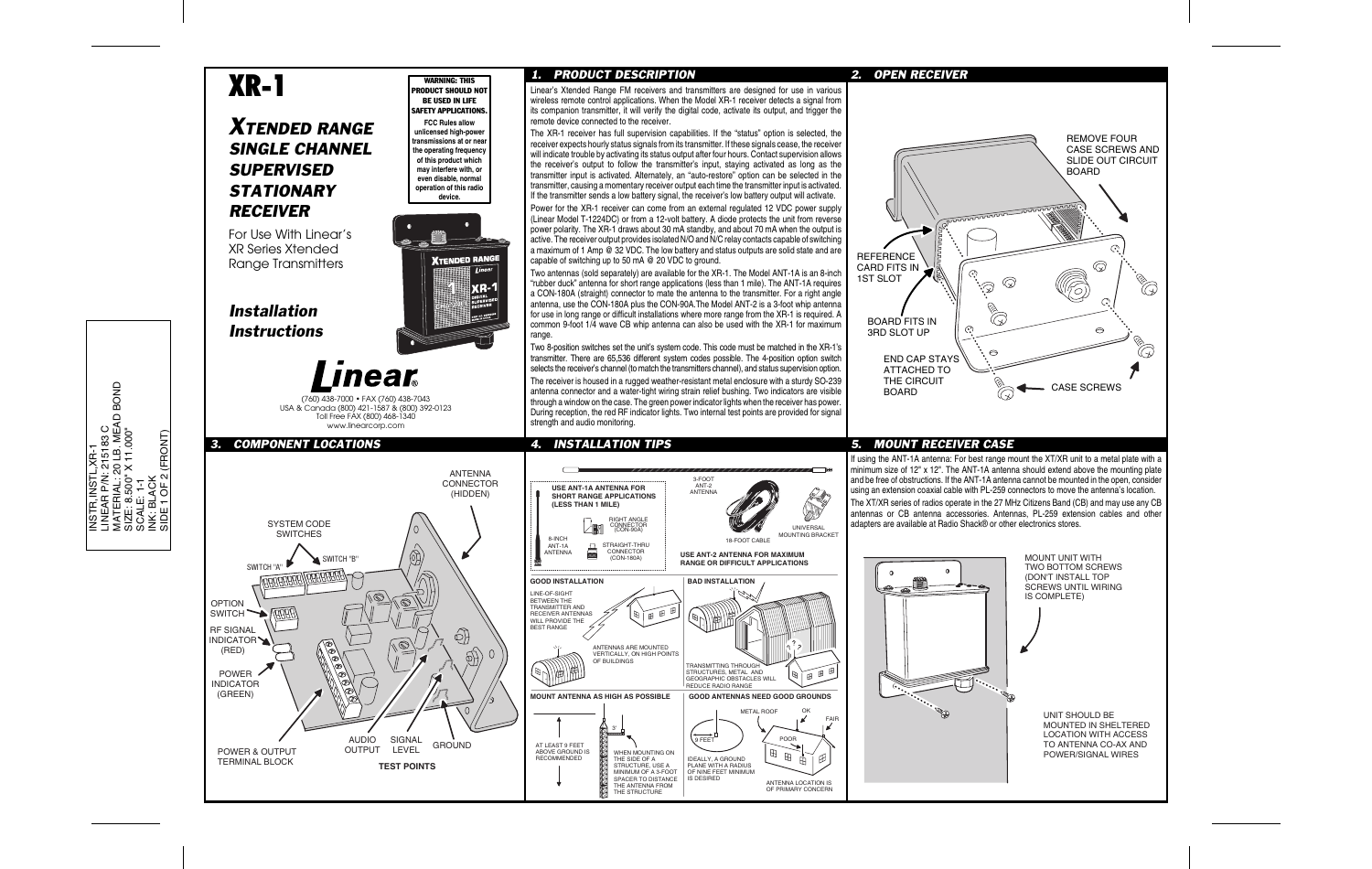# XR-1

## *XTENDED RANGESINGLE CHANNELSUPERVISEDSTATIONARYRECEIVER*

For Use With Linear'sXR Series XtendedRange Transmitters

*InstallationInstructions*



WADNING, THIS PRODUCT SHOULD NOT BE USED IN LIFE SAFETY APPLICATIONS.**FCC Rules allow unlicensed high-power transmissions at or near the operating frequency of this product which may interfere with, or even disable, normal operation of this radio device.**

**XTENDED RANGE** 

Linea

CR-

(760) 438-7000 • FAX (760) 438-7043 USA & Canada (800) 421-1587 & (800) 392-0123 Toll Free FAX (800) 468-1340 www.linearcorp.com

### *3. COMPONENT LOCATIONS*



*1. PRODUCT DESCRIPTION*

Linear's Xtended Range FM receivers and transmitters are designed for use in various wireless remote control applications. When the Model XR-1 receiver detects a signal from its companion transmitter, it will verify the digital code, activate its output, and trigger the remote device connected to the receiver.

The XR-1 receiver has full supervision capabilities. If the "status" option is selected, the receiver expects hourly status signals from its transmitter. If these signals cease, the receiver will indicate trouble by activating its status output after four hours. Contact supervision allows the receiver's output to follow the transmitter's input, staying activated as long as the transmitter input is activated. Alternately, an "auto-restore" option can be selected in the transmitter, causing a momentary receiver output each time the transmitter input is activated. If the transmitter sends a low battery signal, the receiver's low battery output will activate.

Power for the XR-1 receiver can come from an external regulated 12 VDC power supply (Linear Model T-1224DC) or from a 12-volt battery. A diode protects the unit from reverse power polarity. The XR-1 draws about 30 mA standby, and about 70 mA when the output is active. The receiver output provides isolated N/O and N/C relay contacts capable of switching a maximum of 1 Amp @ 32 VDC. The low battery and status outputs are solid state and are capable of switching up to 50 mA @ 20 VDC to ground.

Two antennas (sold separately) are available for the XR-1. The Model ANT-1A is an 8-inch "rubber duck" antenna for short range applications (less than 1 mile). The ANT-1A requires a CON-180A (straight) connector to mate the antenna to the transmitter. For a right angle antenna, use the CON-180A plus the CON-90A.The Model ANT-2 is a 3-foot whip antenna for use in long range or difficult installations where more range from the XR-1 is required. A common 9-foot 1/4 wave CB whip antenna can also be used with the XR-1 for maximum range.

Two 8-position switches set the unit's system code. This code must be matched in the XR-1's transmitter. There are 65,536 different system codes possible. The 4-position option switch selects the receiver's channel (to match the transmitters channel), and status supervision option. The receiver is housed in a rugged weather-resistant metal enclosure with a sturdy SO-239 antenna connector and a water-tight wiring strain relief bushing. Two indicators are visible through a window on the case. The green power indicator lights when the receiver has power. During reception, the red RF indicator lights. Two internal test points are provided for signal strength and audio monitoring.



#### *2. OPEN RECEIVER*



#### *4. INSTALLATION TIPS 5. MOUNT RECEIVER CASE*

If using the ANT-1A antenna: For best range mount the XT/XR unit to a metal plate with a minimum size of 12" x 12". The ANT-1A antenna should extend above the mounting plate and be free of obstructions. If the ANT-1A antenna cannot be mounted in the open, consider using an extension coaxial cable with PL-259 connectors to move the antenna's location. The XT/XR series of radios operate in the 27 MHz Citizens Band (CB) and may use any CB

antennas or CB antenna accessories. Antennas, PL-259 extension cables and other adapters are available at Radio Shack® or other electronics stores.